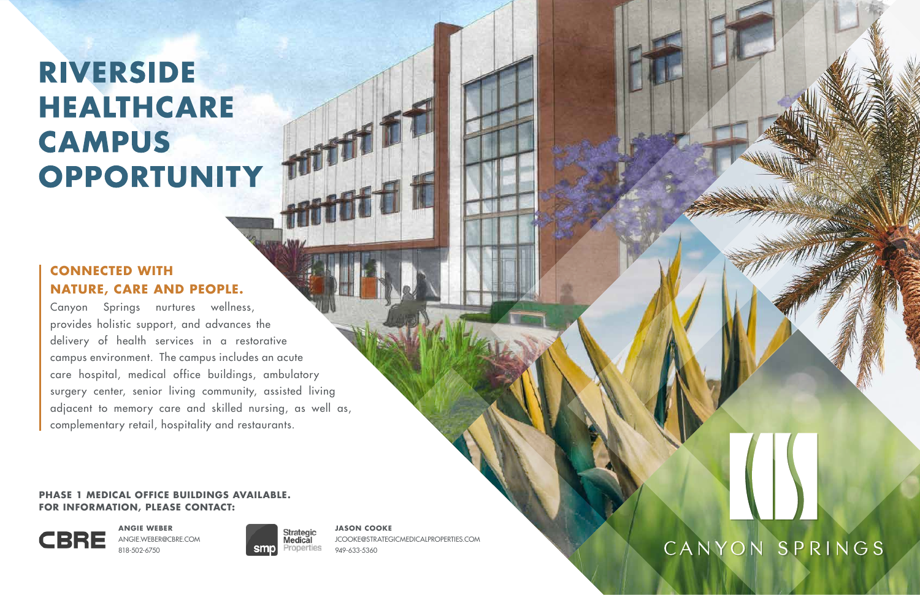#### **PHASE 1 MEDICAL OFFICE BUILDINGS AVAILABLE. FOR INFORMATION, PLEASE CONTACT:**



**ANGIE WEBER** ANGIE.WEBER@CBRE.COM 818-502-6750



#### **JASON COOKE**

JCOOKE@STRATEGICMEDICALPROPERTIES.COM 949-633-5360



Canyon Springs nurtures wellness, provides holistic support, and advances the delivery of health services in a restorative campus environment. The campus includes an acute care hospital, medical office buildings, ambulatory surgery center, senior living community, assisted living adjacent to memory care and skilled nursing, as well as, complementary retail, hospitality and restaurants.

## **RIVERSIDE HEALTHCARE** CAMPUS OPPORTUNITY

### **CONNECTED WITH NATURE, CARE AND PEOPLE.**